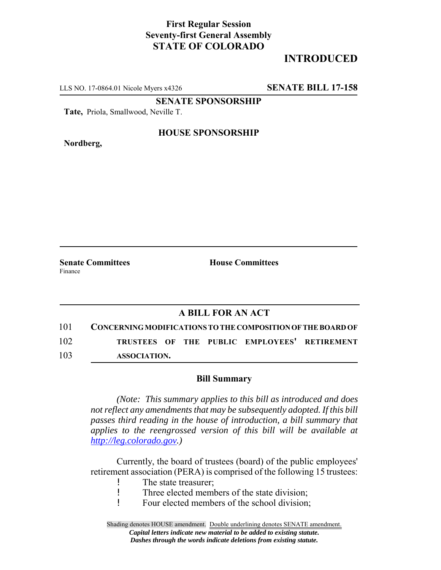## **First Regular Session Seventy-first General Assembly STATE OF COLORADO**

# **INTRODUCED**

LLS NO. 17-0864.01 Nicole Myers x4326 **SENATE BILL 17-158**

**SENATE SPONSORSHIP**

**Tate,** Priola, Smallwood, Neville T.

**Nordberg,**

#### **HOUSE SPONSORSHIP**

**Senate Committees House Committees** Finance

### **A BILL FOR AN ACT**

101 **CONCERNING MODIFICATIONS TO THE COMPOSITION OF THE BOARD OF** 102 **TRUSTEES OF THE PUBLIC EMPLOYEES' RETIREMENT**

103 **ASSOCIATION.**

#### **Bill Summary**

*(Note: This summary applies to this bill as introduced and does not reflect any amendments that may be subsequently adopted. If this bill passes third reading in the house of introduction, a bill summary that applies to the reengrossed version of this bill will be available at http://leg.colorado.gov.)*

Currently, the board of trustees (board) of the public employees' retirement association (PERA) is comprised of the following 15 trustees:

- ! The state treasurer;
- ! Three elected members of the state division;
- ! Four elected members of the school division;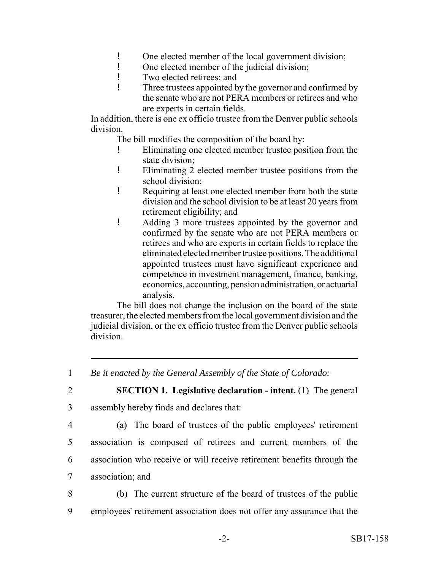- ! One elected member of the local government division;
- ! One elected member of the judicial division;<br>I Two elected retirees: and
- Two elected retirees; and
- ! Three trustees appointed by the governor and confirmed by the senate who are not PERA members or retirees and who are experts in certain fields.

In addition, there is one ex officio trustee from the Denver public schools division.

The bill modifies the composition of the board by:

- ! Eliminating one elected member trustee position from the state division;
- ! Eliminating 2 elected member trustee positions from the school division;
- ! Requiring at least one elected member from both the state division and the school division to be at least 20 years from retirement eligibility; and
- ! Adding 3 more trustees appointed by the governor and confirmed by the senate who are not PERA members or retirees and who are experts in certain fields to replace the eliminated elected member trustee positions. The additional appointed trustees must have significant experience and competence in investment management, finance, banking, economics, accounting, pension administration, or actuarial analysis.

The bill does not change the inclusion on the board of the state treasurer, the elected members from the local government division and the judicial division, or the ex officio trustee from the Denver public schools division.

1 *Be it enacted by the General Assembly of the State of Colorado:*

2 **SECTION 1. Legislative declaration - intent.** (1) The general

- 3 assembly hereby finds and declares that:
- 

4 (a) The board of trustees of the public employees' retirement

5 association is composed of retirees and current members of the

6 association who receive or will receive retirement benefits through the

7 association; and

8 (b) The current structure of the board of trustees of the public 9 employees' retirement association does not offer any assurance that the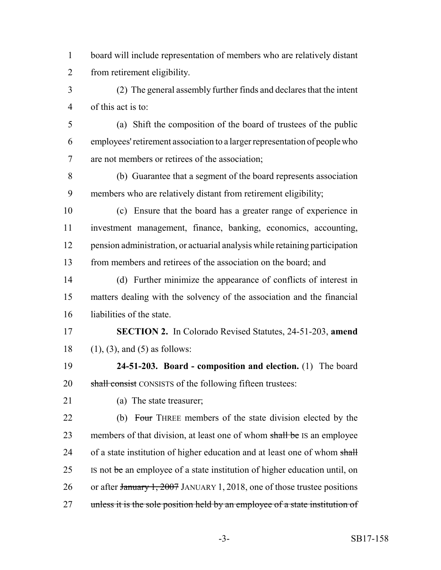board will include representation of members who are relatively distant from retirement eligibility.

 (2) The general assembly further finds and declares that the intent of this act is to:

 (a) Shift the composition of the board of trustees of the public employees' retirement association to a larger representation of people who are not members or retirees of the association;

 (b) Guarantee that a segment of the board represents association members who are relatively distant from retirement eligibility;

 (c) Ensure that the board has a greater range of experience in investment management, finance, banking, economics, accounting, pension administration, or actuarial analysis while retaining participation from members and retirees of the association on the board; and

 (d) Further minimize the appearance of conflicts of interest in matters dealing with the solvency of the association and the financial liabilities of the state.

 **SECTION 2.** In Colorado Revised Statutes, 24-51-203, **amend** (1), (3), and (5) as follows:

 **24-51-203. Board - composition and election.** (1) The board 20 shall consist CONSISTS of the following fifteen trustees:

(a) The state treasurer;

22 (b) Four THREE members of the state division elected by the 23 members of that division, at least one of whom shall be IS an employee 24 of a state institution of higher education and at least one of whom shall 25 IS not be an employee of a state institution of higher education until, on 26 or after January 1, 2007 JANUARY 1, 2018, one of those trustee positions 27 unless it is the sole position held by an employee of a state institution of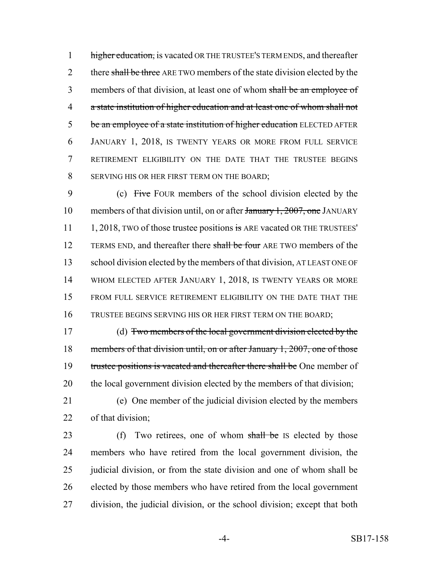1 higher education, is vacated OR THE TRUSTEE'S TERM ENDS, and thereafter 2 there shall be three ARE TWO members of the state division elected by the 3 members of that division, at least one of whom shall be an employee of 4 a state institution of higher education and at least one of whom shall not 5 be an employee of a state institution of higher education ELECTED AFTER 6 JANUARY 1, 2018, IS TWENTY YEARS OR MORE FROM FULL SERVICE 7 RETIREMENT ELIGIBILITY ON THE DATE THAT THE TRUSTEE BEGINS 8 SERVING HIS OR HER FIRST TERM ON THE BOARD;

9 (c) Five FOUR members of the school division elected by the 10 members of that division until, on or after January 1, 2007, one JANUARY 11 1, 2018, TWO of those trustee positions is ARE vacated OR THE TRUSTEES' 12 TERMS END, and thereafter there shall be four ARE TWO members of the 13 school division elected by the members of that division, AT LEAST ONE OF 14 WHOM ELECTED AFTER JANUARY 1, 2018, IS TWENTY YEARS OR MORE 15 FROM FULL SERVICE RETIREMENT ELIGIBILITY ON THE DATE THAT THE 16 TRUSTEE BEGINS SERVING HIS OR HER FIRST TERM ON THE BOARD;

 (d) Two members of the local government division elected by the members of that division until, on or after January 1, 2007, one of those 19 trustee positions is vacated and thereafter there shall be One member of the local government division elected by the members of that division;

21 (e) One member of the judicial division elected by the members 22 of that division;

23 (f) Two retirees, one of whom shall be IS elected by those 24 members who have retired from the local government division, the 25 judicial division, or from the state division and one of whom shall be 26 elected by those members who have retired from the local government 27 division, the judicial division, or the school division; except that both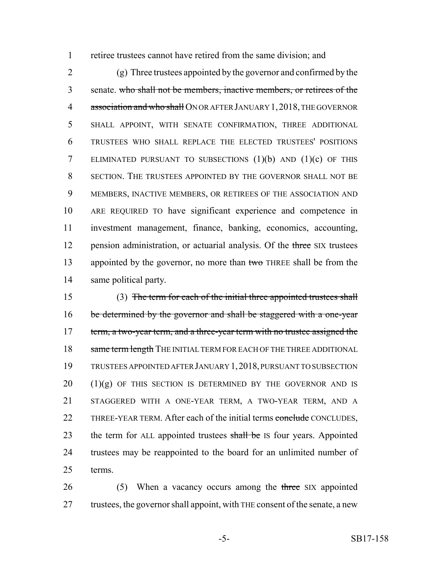retiree trustees cannot have retired from the same division; and

 (g) Three trustees appointed by the governor and confirmed by the senate. who shall not be members, inactive members, or retirees of the 4 association and who shall ON OR AFTER JANUARY 1, 2018, THE GOVERNOR SHALL APPOINT, WITH SENATE CONFIRMATION, THREE ADDITIONAL TRUSTEES WHO SHALL REPLACE THE ELECTED TRUSTEES' POSITIONS ELIMINATED PURSUANT TO SUBSECTIONS (1)(b) AND (1)(c) OF THIS SECTION. THE TRUSTEES APPOINTED BY THE GOVERNOR SHALL NOT BE MEMBERS, INACTIVE MEMBERS, OR RETIREES OF THE ASSOCIATION AND ARE REQUIRED TO have significant experience and competence in investment management, finance, banking, economics, accounting, 12 pension administration, or actuarial analysis. Of the three SIX trustees 13 appointed by the governor, no more than two THREE shall be from the same political party.

 (3) The term for each of the initial three appointed trustees shall be determined by the governor and shall be staggered with a one-year 17 term, a two-year term, and a three-year term with no trustee assigned the 18 same term length THE INITIAL TERM FOR EACH OF THE THREE ADDITIONAL TRUSTEES APPOINTED AFTER JANUARY 1,2018, PURSUANT TO SUBSECTION (1)(g) OF THIS SECTION IS DETERMINED BY THE GOVERNOR AND IS STAGGERED WITH A ONE-YEAR TERM, A TWO-YEAR TERM, AND A 22 THREE-YEAR TERM. After each of the initial terms conclude CONCLUDES, 23 the term for ALL appointed trustees shall be IS four years. Appointed trustees may be reappointed to the board for an unlimited number of terms.

 (5) When a vacancy occurs among the three SIX appointed trustees, the governor shall appoint, with THE consent of the senate, a new